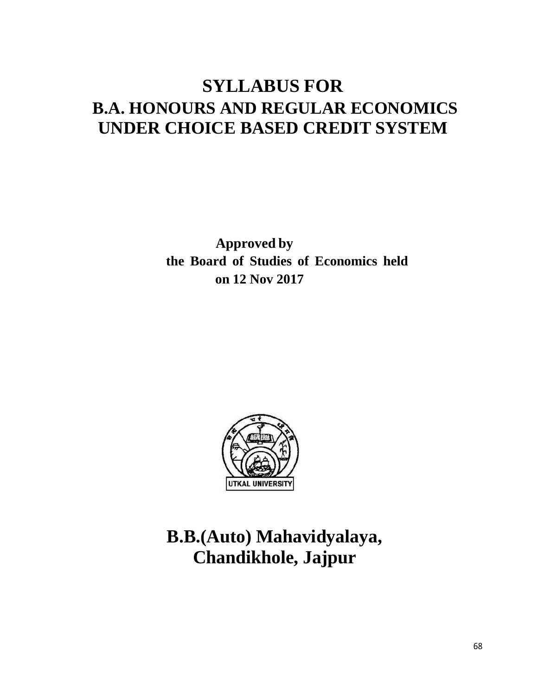# **SYLLABUS FOR B.A. HONOURS AND REGULAR ECONOMICS UNDER CHOICE BASED CREDIT SYSTEM**

**Approved by the Board of Studies of Economics held on 12 Nov 2017**



# **B.B.(Auto) Mahavidyalaya, Chandikhole, Jajpur**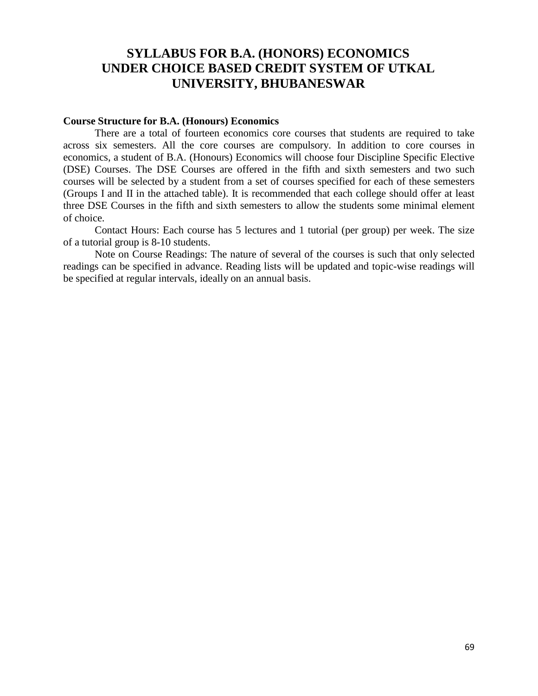# **SYLLABUS FOR B.A. (HONORS) ECONOMICS UNDER CHOICE BASED CREDIT SYSTEM OF UTKAL UNIVERSITY, BHUBANESWAR**

#### **Course Structure for B.A. (Honours) Economics**

There are a total of fourteen economics core courses that students are required to take across six semesters. All the core courses are compulsory. In addition to core courses in economics, a student of B.A. (Honours) Economics will choose four Discipline Specific Elective (DSE) Courses. The DSE Courses are offered in the fifth and sixth semesters and two such courses will be selected by a student from a set of courses specified for each of these semesters (Groups I and II in the attached table). It is recommended that each college should offer at least three DSE Courses in the fifth and sixth semesters to allow the students some minimal element of choice.

Contact Hours: Each course has 5 lectures and 1 tutorial (per group) per week. The size of a tutorial group is 8-10 students.

Note on Course Readings: The nature of several of the courses is such that only selected readings can be specified in advance. Reading lists will be updated and topic-wise readings will be specified at regular intervals, ideally on an annual basis.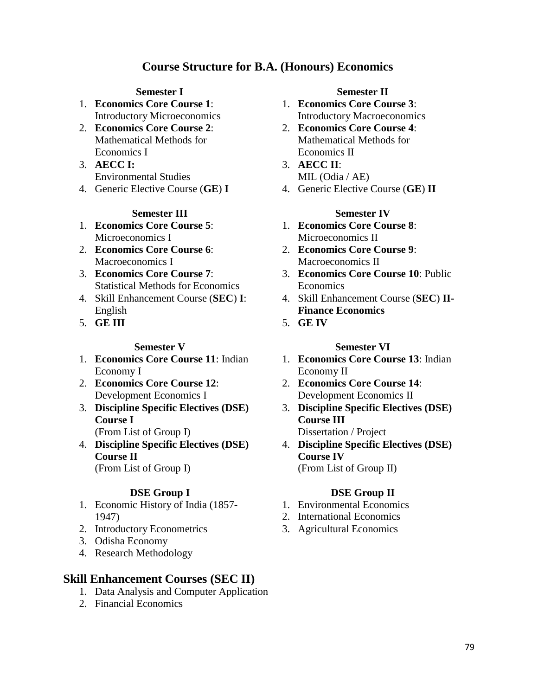# **Course Structure for B.A. (Honours) Economics**

- 1. **Economics Core Course 1**: Introductory Microeconomics
- 2. **Economics Core Course 2**: Mathematical Methods for Economics I
- 3. **AECC I:** Environmental Studies
- 4. Generic Elective Course (**GE**) **I**

#### **Semester III Semester IV**

- 1. **Economics Core Course 5**: Microeconomics I
- 2. **Economics Core Course 6**: Macroeconomics I
- 3. **Economics Core Course 7**: Statistical Methods for Economics
- 4. Skill Enhancement Course (**SEC**) **I**: English
- 5. **GE III**

- 1. **Economics Core Course 11**: Indian Economy I
- 2. **Economics Core Course 12**: Development Economics I
- 3. **Discipline Specific Electives (DSE) Course I**
	- (From List of Group I)
- 4. **Discipline Specific Electives (DSE) Course II** (From List of Group I)

- 1. Economic History of India (1857- 1947)
- 2. Introductory Econometrics
- 3. Odisha Economy
- 4. Research Methodology

## **Skill Enhancement Courses (SEC II)**

- 1. Data Analysis and Computer Application
- 2. Financial Economics

### **Semester I Semester II**

- 1. **Economics Core Course 3**: Introductory Macroeconomics
- 2. **Economics Core Course 4**: Mathematical Methods for Economics II
- 3. **AECC II**: MIL (Odia / AE)
- 4. Generic Elective Course (**GE**) **II**

- 1. **Economics Core Course 8**: Microeconomics II
- 2. **Economics Core Course 9**: Macroeconomics II
- 3. **Economics Core Course 10**: Public Economics
- 4. Skill Enhancement Course (**SEC**) **II-Finance Economics**
- 5. **GE IV**

### **Semester V Semester VI**

- 1. **Economics Core Course 13**: Indian Economy II
- 2. **Economics Core Course 14**: Development Economics II
- 3. **Discipline Specific Electives (DSE) Course III** Dissertation / Project
- 4. **Discipline Specific Electives (DSE) Course IV** (From List of Group II)

## **DSE Group I DSE Group II**

- 1. Environmental Economics
- 2. International Economics
- 3. Agricultural Economics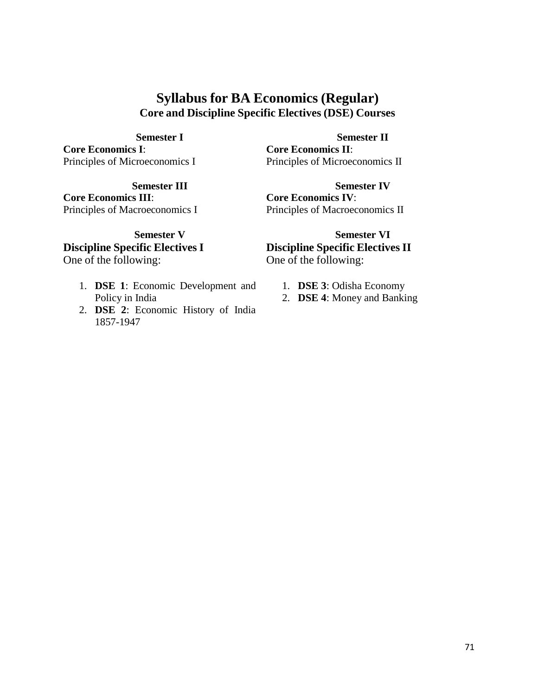# **Syllabus for BA Economics (Regular) Core and Discipline Specific Electives (DSE) Courses**

**Core Economics I**: Principles of Microeconomics I

**Core Economics III**: Principles of Macroeconomics I

# **Discipline Specific Electives I**

One of the following:

- 1. **DSE 1**: Economic Development and Policy in India
- 2. **DSE 2**: Economic History of India 1857-1947

**Semester I Semester II**

**Core Economics II**: Principles of Microeconomics II

**Semester III Semester IV Core Economics IV**: Principles of Macroeconomics II

**Semester V Semester VI Discipline Specific Electives II** One of the following:

- 1. **DSE 3**: Odisha Economy
- 2. **DSE 4**: Money and Banking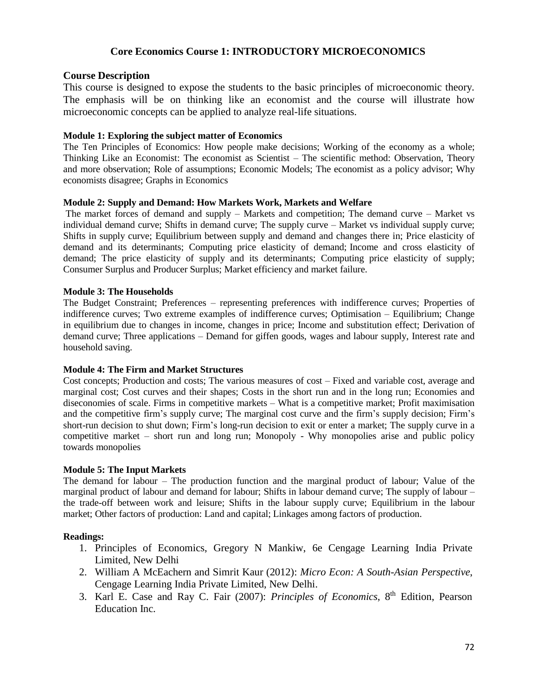### **Core Economics Course 1: INTRODUCTORY MICROECONOMICS**

#### **Course Description**

This course is designed to expose the students to the basic principles of microeconomic theory. The emphasis will be on thinking like an economist and the course will illustrate how microeconomic concepts can be applied to analyze real-life situations.

#### **Module 1: Exploring the subject matter of Economics**

The Ten Principles of Economics: How people make decisions; Working of the economy as a whole; Thinking Like an Economist: The economist as Scientist – The scientific method: Observation, Theory and more observation; Role of assumptions; Economic Models; The economist as a policy advisor; Why economists disagree; Graphs in Economics

#### **Module 2: Supply and Demand: How Markets Work, Markets and Welfare**

The market forces of demand and supply – Markets and competition; The demand curve – Market vs individual demand curve; Shifts in demand curve; The supply curve – Market vs individual supply curve; Shifts in supply curve; Equilibrium between supply and demand and changes there in; Price elasticity of demand and its determinants; Computing price elasticity of demand; Income and cross elasticity of demand; The price elasticity of supply and its determinants; Computing price elasticity of supply; Consumer Surplus and Producer Surplus; Market efficiency and market failure.

#### **Module 3: The Households**

The Budget Constraint; Preferences – representing preferences with indifference curves; Properties of indifference curves; Two extreme examples of indifference curves; Optimisation – Equilibrium; Change in equilibrium due to changes in income, changes in price; Income and substitution effect; Derivation of demand curve; Three applications – Demand for giffen goods, wages and labour supply, Interest rate and household saving.

#### **Module 4: The Firm and Market Structures**

Cost concepts; Production and costs; The various measures of cost – Fixed and variable cost, average and marginal cost; Cost curves and their shapes; Costs in the short run and in the long run; Economies and diseconomies of scale. Firms in competitive markets – What is a competitive market; Profit maximisation and the competitive firm's supply curve; The marginal cost curve and the firm's supply decision; Firm's short-run decision to shut down; Firm's long-run decision to exit or enter a market; The supply curve in a competitive market – short run and long run; Monopoly - Why monopolies arise and public policy towards monopolies

#### **Module 5: The Input Markets**

The demand for labour – The production function and the marginal product of labour; Value of the marginal product of labour and demand for labour; Shifts in labour demand curve; The supply of labour – the trade-off between work and leisure; Shifts in the labour supply curve; Equilibrium in the labour market; Other factors of production: Land and capital; Linkages among factors of production.

- 1. Principles of Economics, Gregory N Mankiw, 6e Cengage Learning India Private Limited, New Delhi
- 2. William A McEachern and Simrit Kaur (2012): *Micro Econ: A South-Asian Perspective*, Cengage Learning India Private Limited, New Delhi.
- 3. Karl E. Case and Ray C. Fair (2007): *Principles of Economics*, 8 th Edition, Pearson Education Inc.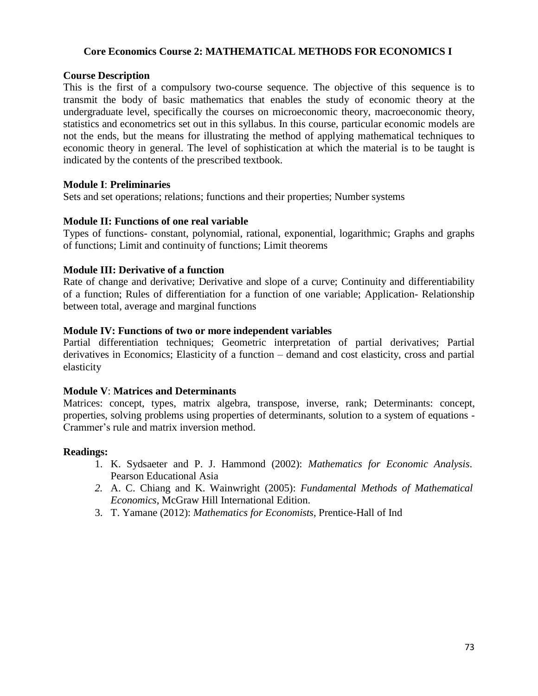### **Core Economics Course 2: MATHEMATICAL METHODS FOR ECONOMICS I**

#### **Course Description**

This is the first of a compulsory two-course sequence. The objective of this sequence is to transmit the body of basic mathematics that enables the study of economic theory at the undergraduate level, specifically the courses on microeconomic theory, macroeconomic theory, statistics and econometrics set out in this syllabus. In this course, particular economic models are not the ends, but the means for illustrating the method of applying mathematical techniques to economic theory in general. The level of sophistication at which the material is to be taught is indicated by the contents of the prescribed textbook.

### **Module I**: **Preliminaries**

Sets and set operations; relations; functions and their properties; Number systems

### **Module II: Functions of one real variable**

Types of functions- constant, polynomial, rational, exponential, logarithmic; Graphs and graphs of functions; Limit and continuity of functions; Limit theorems

### **Module III: Derivative of a function**

Rate of change and derivative; Derivative and slope of a curve; Continuity and differentiability of a function; Rules of differentiation for a function of one variable; Application- Relationship between total, average and marginal functions

### **Module IV: Functions of two or more independent variables**

Partial differentiation techniques; Geometric interpretation of partial derivatives; Partial derivatives in Economics; Elasticity of a function – demand and cost elasticity, cross and partial elasticity

#### **Module V**: **Matrices and Determinants**

Matrices: concept, types, matrix algebra, transpose, inverse, rank; Determinants: concept, properties, solving problems using properties of determinants, solution to a system of equations - Crammer's rule and matrix inversion method.

- 1. K. Sydsaeter and P. J. Hammond (2002): *Mathematics for Economic Analysis*. Pearson Educational Asia
- *2.* A. C. Chiang and K. Wainwright (2005): *Fundamental Methods of Mathematical Economics*, McGraw Hill International Edition.
- 3. T. Yamane (2012): *Mathematics for Economists*, Prentice-Hall of Ind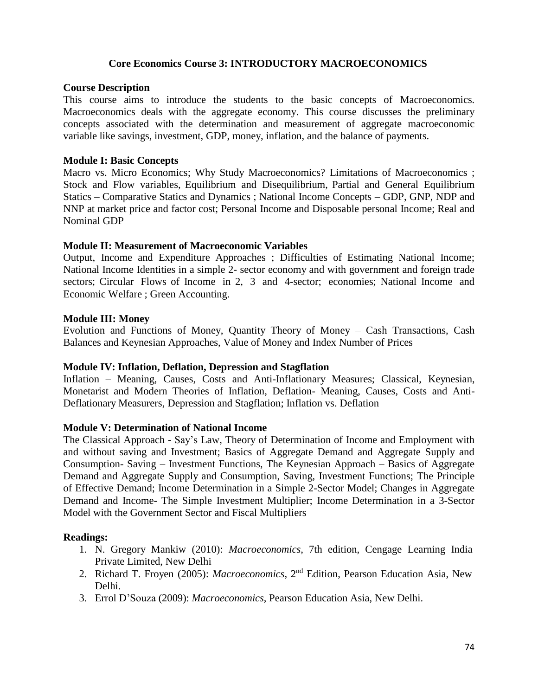#### **Core Economics Course 3: INTRODUCTORY MACROECONOMICS**

#### **Course Description**

This course aims to introduce the students to the basic concepts of Macroeconomics. Macroeconomics deals with the aggregate economy. This course discusses the preliminary concepts associated with the determination and measurement of aggregate macroeconomic variable like savings, investment, GDP, money, inflation, and the balance of payments.

#### **Module I: Basic Concepts**

Macro vs. Micro Economics; Why Study Macroeconomics? Limitations of Macroeconomics ; Stock and Flow variables, Equilibrium and Disequilibrium, Partial and General Equilibrium Statics – Comparative Statics and Dynamics ; National Income Concepts – GDP, GNP, NDP and NNP at market price and factor cost; Personal Income and Disposable personal Income; Real and Nominal GDP

#### **Module II: Measurement of Macroeconomic Variables**

Output, Income and Expenditure Approaches ; Difficulties of Estimating National Income; National Income Identities in a simple 2- sector economy and with government and foreign trade sectors; Circular Flows of Income in 2, 3 and 4-sector; economies; National Income and Economic Welfare ; Green Accounting.

#### **Module III: Money**

Evolution and Functions of Money, Quantity Theory of Money – Cash Transactions, Cash Balances and Keynesian Approaches, Value of Money and Index Number of Prices

#### **Module IV: Inflation, Deflation, Depression and Stagflation**

Inflation – Meaning, Causes, Costs and Anti-Inflationary Measures; Classical, Keynesian, Monetarist and Modern Theories of Inflation, Deflation- Meaning, Causes, Costs and Anti-Deflationary Measurers, Depression and Stagflation; Inflation vs. Deflation

#### **Module V: Determination of National Income**

The Classical Approach - Say's Law, Theory of Determination of Income and Employment with and without saving and Investment; Basics of Aggregate Demand and Aggregate Supply and Consumption- Saving – Investment Functions, The Keynesian Approach – Basics of Aggregate Demand and Aggregate Supply and Consumption, Saving, Investment Functions; The Principle of Effective Demand; Income Determination in a Simple 2-Sector Model; Changes in Aggregate Demand and Income- The Simple Investment Multiplier; Income Determination in a 3-Sector Model with the Government Sector and Fiscal Multipliers

- 1. N. Gregory Mankiw (2010): *Macroeconomics*, 7th edition, Cengage Learning India Private Limited, New Delhi
- 2. Richard T. Froyen (2005): *Macroeconomics*, 2<sup>nd</sup> Edition, Pearson Education Asia, New Delhi.
- 3. Errol D'Souza (2009): *Macroeconomics*, Pearson Education Asia, New Delhi.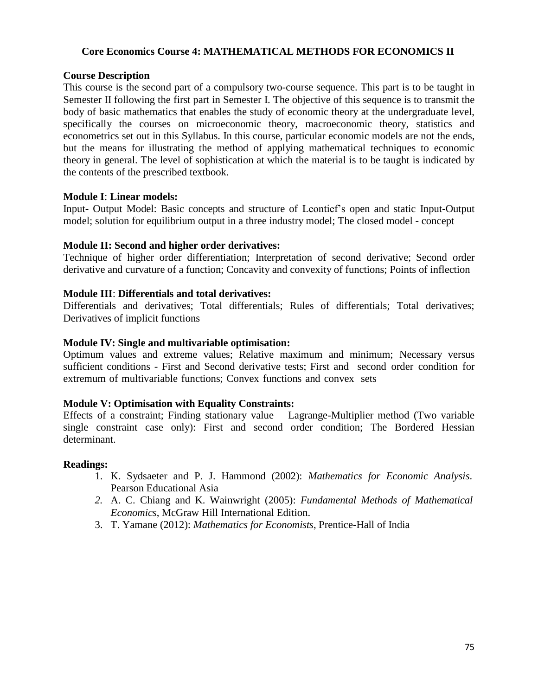### **Core Economics Course 4: MATHEMATICAL METHODS FOR ECONOMICS II**

#### **Course Description**

This course is the second part of a compulsory two-course sequence. This part is to be taught in Semester II following the first part in Semester I. The objective of this sequence is to transmit the body of basic mathematics that enables the study of economic theory at the undergraduate level, specifically the courses on microeconomic theory, macroeconomic theory, statistics and econometrics set out in this Syllabus. In this course, particular economic models are not the ends, but the means for illustrating the method of applying mathematical techniques to economic theory in general. The level of sophistication at which the material is to be taught is indicated by the contents of the prescribed textbook.

### **Module I**: **Linear models:**

Input- Output Model: Basic concepts and structure of Leontief's open and static Input-Output model; solution for equilibrium output in a three industry model; The closed model - concept

### **Module II: Second and higher order derivatives:**

Technique of higher order differentiation; Interpretation of second derivative; Second order derivative and curvature of a function; Concavity and convexity of functions; Points of inflection

### **Module III**: **Differentials and total derivatives:**

Differentials and derivatives; Total differentials; Rules of differentials; Total derivatives; Derivatives of implicit functions

### **Module IV: Single and multivariable optimisation:**

Optimum values and extreme values; Relative maximum and minimum; Necessary versus sufficient conditions - First and Second derivative tests; First and second order condition for extremum of multivariable functions; Convex functions and convex sets

#### **Module V: Optimisation with Equality Constraints:**

Effects of a constraint; Finding stationary value – Lagrange-Multiplier method (Two variable single constraint case only): First and second order condition; The Bordered Hessian determinant.

- 1. K. Sydsaeter and P. J. Hammond (2002): *Mathematics for Economic Analysis*. Pearson Educational Asia
- *2.* A. C. Chiang and K. Wainwright (2005): *Fundamental Methods of Mathematical Economics*, McGraw Hill International Edition.
- 3. T. Yamane (2012): *Mathematics for Economists*, Prentice-Hall of India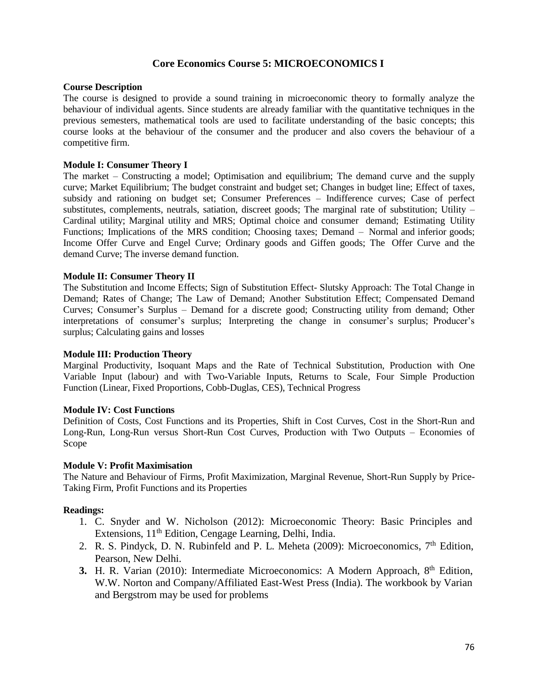#### **Core Economics Course 5: MICROECONOMICS I**

#### **Course Description**

The course is designed to provide a sound training in microeconomic theory to formally analyze the behaviour of individual agents. Since students are already familiar with the quantitative techniques in the previous semesters, mathematical tools are used to facilitate understanding of the basic concepts; this course looks at the behaviour of the consumer and the producer and also covers the behaviour of a competitive firm.

#### **Module I: Consumer Theory I**

The market – Constructing a model; Optimisation and equilibrium; The demand curve and the supply curve; Market Equilibrium; The budget constraint and budget set; Changes in budget line; Effect of taxes, subsidy and rationing on budget set; Consumer Preferences – Indifference curves; Case of perfect substitutes, complements, neutrals, satiation, discreet goods; The marginal rate of substitution; Utility – Cardinal utility; Marginal utility and MRS; Optimal choice and consumer demand; Estimating Utility Functions; Implications of the MRS condition; Choosing taxes; Demand – Normal and inferior goods; Income Offer Curve and Engel Curve; Ordinary goods and Giffen goods; The Offer Curve and the demand Curve; The inverse demand function.

#### **Module II: Consumer Theory II**

The Substitution and Income Effects; Sign of Substitution Effect- Slutsky Approach: The Total Change in Demand; Rates of Change; The Law of Demand; Another Substitution Effect; Compensated Demand Curves; Consumer's Surplus – Demand for a discrete good; Constructing utility from demand; Other interpretations of consumer's surplus; Interpreting the change in consumer's surplus; Producer's surplus; Calculating gains and losses

#### **Module III: Production Theory**

Marginal Productivity, Isoquant Maps and the Rate of Technical Substitution, Production with One Variable Input (labour) and with Two-Variable Inputs, Returns to Scale, Four Simple Production Function (Linear, Fixed Proportions, Cobb-Duglas, CES), Technical Progress

#### **Module IV: Cost Functions**

Definition of Costs, Cost Functions and its Properties, Shift in Cost Curves, Cost in the Short-Run and Long-Run, Long-Run versus Short-Run Cost Curves, Production with Two Outputs – Economies of Scope

#### **Module V: Profit Maximisation**

The Nature and Behaviour of Firms, Profit Maximization, Marginal Revenue, Short-Run Supply by Price-Taking Firm, Profit Functions and its Properties

- 1. C. Snyder and W. Nicholson (2012): Microeconomic Theory: Basic Principles and Extensions, 11<sup>th</sup> Edition, Cengage Learning, Delhi, India.
- 2. R. S. Pindyck, D. N. Rubinfeld and P. L. Meheta (2009): Microeconomics,  $7<sup>th</sup>$  Edition, Pearson, New Delhi.
- **3.** H. R. Varian (2010): Intermediate Microeconomics: A Modern Approach, 8<sup>th</sup> Edition, W.W. Norton and Company/Affiliated East-West Press (India). The workbook by Varian and Bergstrom may be used for problems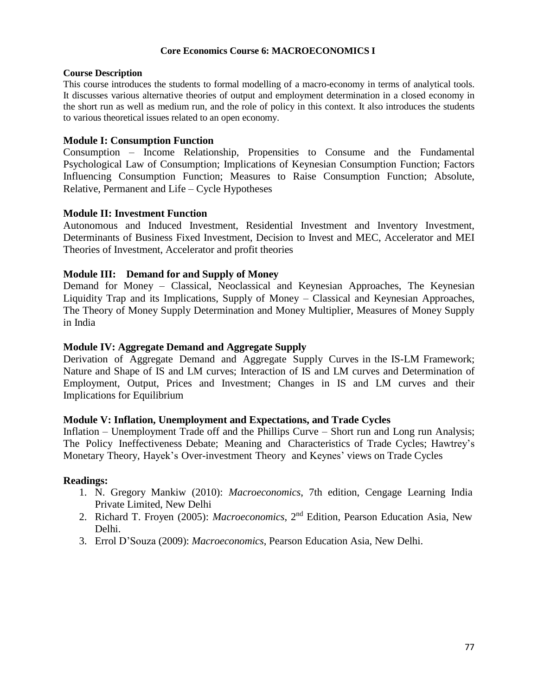#### **Core Economics Course 6: MACROECONOMICS I**

#### **Course Description**

This course introduces the students to formal modelling of a macro-economy in terms of analytical tools. It discusses various alternative theories of output and employment determination in a closed economy in the short run as well as medium run, and the role of policy in this context. It also introduces the students to various theoretical issues related to an open economy.

#### **Module I: Consumption Function**

Consumption – Income Relationship, Propensities to Consume and the Fundamental Psychological Law of Consumption; Implications of Keynesian Consumption Function; Factors Influencing Consumption Function; Measures to Raise Consumption Function; Absolute, Relative, Permanent and Life – Cycle Hypotheses

#### **Module II: Investment Function**

Autonomous and Induced Investment, Residential Investment and Inventory Investment, Determinants of Business Fixed Investment, Decision to Invest and MEC, Accelerator and MEI Theories of Investment, Accelerator and profit theories

#### **Module III: Demand for and Supply of Money**

Demand for Money – Classical, Neoclassical and Keynesian Approaches, The Keynesian Liquidity Trap and its Implications, Supply of Money – Classical and Keynesian Approaches, The Theory of Money Supply Determination and Money Multiplier, Measures of Money Supply in India

#### **Module IV: Aggregate Demand and Aggregate Supply**

Derivation of Aggregate Demand and Aggregate Supply Curves in the IS-LM Framework; Nature and Shape of IS and LM curves; Interaction of IS and LM curves and Determination of Employment, Output, Prices and Investment; Changes in IS and LM curves and their Implications for Equilibrium

#### **Module V: Inflation, Unemployment and Expectations, and Trade Cycles**

Inflation – Unemployment Trade off and the Phillips Curve – Short run and Long run Analysis; The Policy Ineffectiveness Debate; Meaning and Characteristics of Trade Cycles; Hawtrey's Monetary Theory, Hayek's Over-investment Theory and Keynes' views on Trade Cycles

- 1. N. Gregory Mankiw (2010): *Macroeconomics*, 7th edition, Cengage Learning India Private Limited, New Delhi
- 2. Richard T. Froyen (2005): *Macroeconomics*, 2<sup>nd</sup> Edition, Pearson Education Asia, New Delhi.
- 3. Errol D'Souza (2009): *Macroeconomics*, Pearson Education Asia, New Delhi.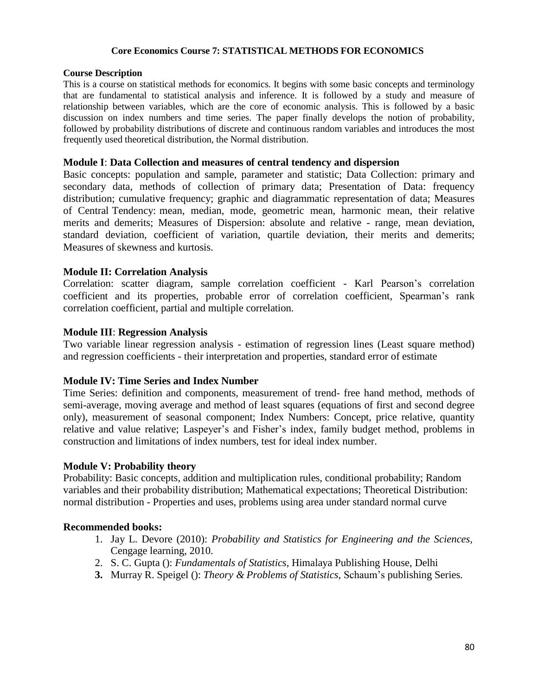#### **Core Economics Course 7: STATISTICAL METHODS FOR ECONOMICS**

#### **Course Description**

This is a course on statistical methods for economics. It begins with some basic concepts and terminology that are fundamental to statistical analysis and inference. It is followed by a study and measure of relationship between variables, which are the core of economic analysis. This is followed by a basic discussion on index numbers and time series. The paper finally develops the notion of probability, followed by probability distributions of discrete and continuous random variables and introduces the most frequently used theoretical distribution, the Normal distribution.

#### **Module I**: **Data Collection and measures of central tendency and dispersion**

Basic concepts: population and sample, parameter and statistic; Data Collection: primary and secondary data, methods of collection of primary data; Presentation of Data: frequency distribution; cumulative frequency; graphic and diagrammatic representation of data; Measures of Central Tendency: mean, median, mode, geometric mean, harmonic mean, their relative merits and demerits; Measures of Dispersion: absolute and relative - range, mean deviation, standard deviation, coefficient of variation, quartile deviation, their merits and demerits; Measures of skewness and kurtosis.

#### **Module II: Correlation Analysis**

Correlation: scatter diagram, sample correlation coefficient - Karl Pearson's correlation coefficient and its properties, probable error of correlation coefficient, Spearman's rank correlation coefficient, partial and multiple correlation.

#### **Module III**: **Regression Analysis**

Two variable linear regression analysis - estimation of regression lines (Least square method) and regression coefficients - their interpretation and properties, standard error of estimate

#### **Module IV: Time Series and Index Number**

Time Series: definition and components, measurement of trend- free hand method, methods of semi-average, moving average and method of least squares (equations of first and second degree only), measurement of seasonal component; Index Numbers: Concept, price relative, quantity relative and value relative; Laspeyer's and Fisher's index, family budget method, problems in construction and limitations of index numbers, test for ideal index number.

#### **Module V: Probability theory**

Probability: Basic concepts, addition and multiplication rules, conditional probability; Random variables and their probability distribution; Mathematical expectations; Theoretical Distribution: normal distribution - Properties and uses, problems using area under standard normal curve

#### **Recommended books:**

- 1. Jay L. Devore (2010): *Probability and Statistics for Engineering and the Sciences,* Cengage learning, 2010.
- 2. S. C. Gupta (): *Fundamentals of Statistics*, Himalaya Publishing House, Delhi
- **3.** Murray R. Speigel (): *Theory & Problems of Statistics*, Schaum's publishing Series.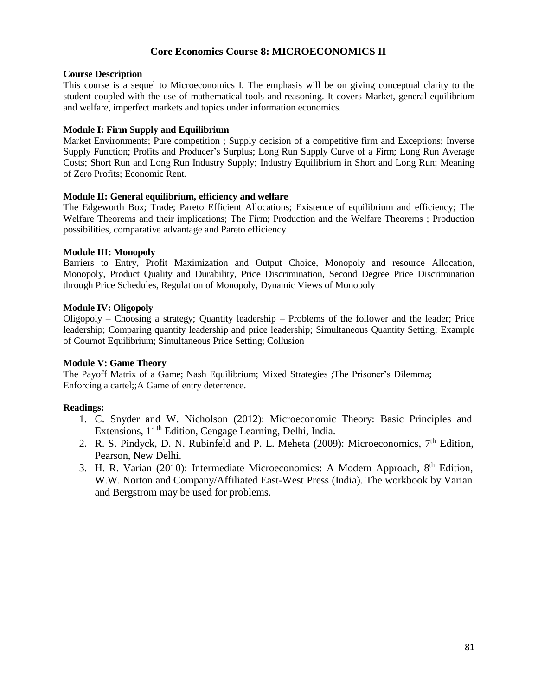### **Core Economics Course 8: MICROECONOMICS II**

#### **Course Description**

This course is a sequel to Microeconomics I. The emphasis will be on giving conceptual clarity to the student coupled with the use of mathematical tools and reasoning. It covers Market, general equilibrium and welfare, imperfect markets and topics under information economics.

#### **Module I: Firm Supply and Equilibrium**

Market Environments; Pure competition ; Supply decision of a competitive firm and Exceptions; Inverse Supply Function; Profits and Producer's Surplus; Long Run Supply Curve of a Firm; Long Run Average Costs; Short Run and Long Run Industry Supply; Industry Equilibrium in Short and Long Run; Meaning of Zero Profits; Economic Rent.

#### **Module II: General equilibrium, efficiency and welfare**

The Edgeworth Box; Trade; Pareto Efficient Allocations; Existence of equilibrium and efficiency; The Welfare Theorems and their implications; The Firm; Production and the Welfare Theorems ; Production possibilities, comparative advantage and Pareto efficiency

#### **Module III: Monopoly**

Barriers to Entry, Profit Maximization and Output Choice, Monopoly and resource Allocation, Monopoly, Product Quality and Durability, Price Discrimination, Second Degree Price Discrimination through Price Schedules, Regulation of Monopoly, Dynamic Views of Monopoly

#### **Module IV: Oligopoly**

Oligopoly – Choosing a strategy; Quantity leadership – Problems of the follower and the leader; Price leadership; Comparing quantity leadership and price leadership; Simultaneous Quantity Setting; Example of Cournot Equilibrium; Simultaneous Price Setting; Collusion

#### **Module V: Game Theory**

The Payoff Matrix of a Game; Nash Equilibrium; Mixed Strategies ;The Prisoner's Dilemma; Enforcing a cartel;;A Game of entry deterrence.

- 1. C. Snyder and W. Nicholson (2012): Microeconomic Theory: Basic Principles and Extensions,  $11<sup>th</sup>$  Edition, Cengage Learning, Delhi, India.
- 2. R. S. Pindyck, D. N. Rubinfeld and P. L. Meheta (2009): Microeconomics,  $7<sup>th</sup>$  Edition, Pearson, New Delhi.
- 3. H. R. Varian (2010): Intermediate Microeconomics: A Modern Approach, 8<sup>th</sup> Edition, W.W. Norton and Company/Affiliated East-West Press (India). The workbook by Varian and Bergstrom may be used for problems.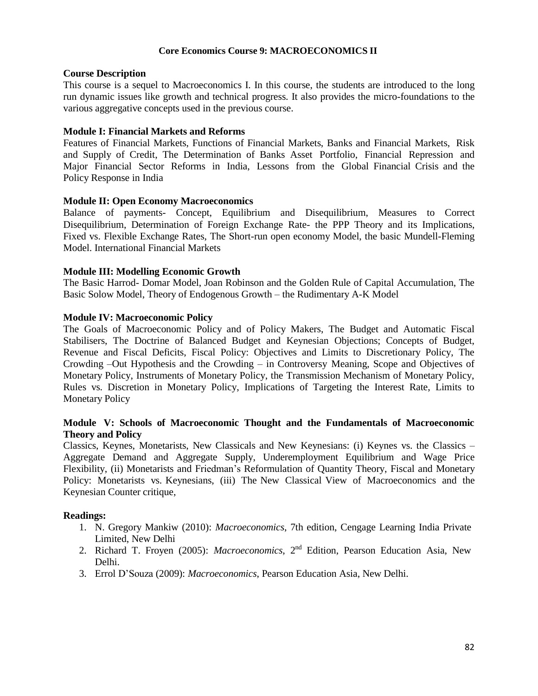#### **Core Economics Course 9: MACROECONOMICS II**

#### **Course Description**

This course is a sequel to Macroeconomics I. In this course, the students are introduced to the long run dynamic issues like growth and technical progress. It also provides the micro-foundations to the various aggregative concepts used in the previous course.

#### **Module I: Financial Markets and Reforms**

Features of Financial Markets, Functions of Financial Markets, Banks and Financial Markets, Risk and Supply of Credit, The Determination of Banks Asset Portfolio, Financial Repression and Major Financial Sector Reforms in India, Lessons from the Global Financial Crisis and the Policy Response in India

#### **Module II: Open Economy Macroeconomics**

Balance of payments- Concept, Equilibrium and Disequilibrium, Measures to Correct Disequilibrium, Determination of Foreign Exchange Rate- the PPP Theory and its Implications, Fixed vs. Flexible Exchange Rates, The Short-run open economy Model, the basic Mundell-Fleming Model. International Financial Markets

#### **Module III: Modelling Economic Growth**

The Basic Harrod- Domar Model, Joan Robinson and the Golden Rule of Capital Accumulation, The Basic Solow Model, Theory of Endogenous Growth – the Rudimentary A-K Model

#### **Module IV: Macroeconomic Policy**

The Goals of Macroeconomic Policy and of Policy Makers, The Budget and Automatic Fiscal Stabilisers, The Doctrine of Balanced Budget and Keynesian Objections; Concepts of Budget, Revenue and Fiscal Deficits, Fiscal Policy: Objectives and Limits to Discretionary Policy, The Crowding –Out Hypothesis and the Crowding – in Controversy Meaning, Scope and Objectives of Monetary Policy, Instruments of Monetary Policy, the Transmission Mechanism of Monetary Policy, Rules vs. Discretion in Monetary Policy, Implications of Targeting the Interest Rate, Limits to Monetary Policy

#### **Module V: Schools of Macroeconomic Thought and the Fundamentals of Macroeconomic Theory and Policy**

Classics, Keynes, Monetarists, New Classicals and New Keynesians: (i) Keynes vs. the Classics – Aggregate Demand and Aggregate Supply, Underemployment Equilibrium and Wage Price Flexibility, (ii) Monetarists and Friedman's Reformulation of Quantity Theory, Fiscal and Monetary Policy: Monetarists vs. Keynesians, (iii) The New Classical View of Macroeconomics and the Keynesian Counter critique,

- 1. N. Gregory Mankiw (2010): *Macroeconomics*, 7th edition, Cengage Learning India Private Limited, New Delhi
- 2. Richard T. Froyen (2005): *Macroeconomics*, 2<sup>nd</sup> Edition, Pearson Education Asia, New Delhi.
- 3. Errol D'Souza (2009): *Macroeconomics*, Pearson Education Asia, New Delhi.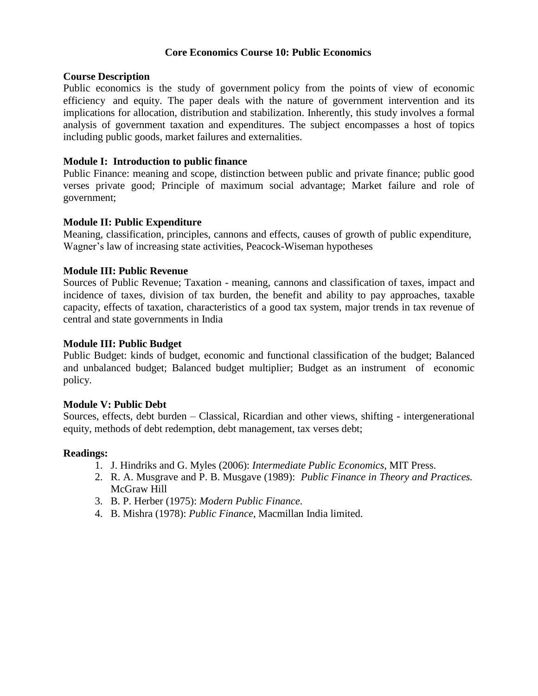### **Core Economics Course 10: Public Economics**

#### **Course Description**

Public economics is the study of government policy from the points of view of economic efficiency and equity. The paper deals with the nature of government intervention and its implications for allocation, distribution and stabilization. Inherently, this study involves a formal analysis of government taxation and expenditures. The subject encompasses a host of topics including public goods, market failures and externalities.

#### **Module I: Introduction to public finance**

Public Finance: meaning and scope, distinction between public and private finance; public good verses private good; Principle of maximum social advantage; Market failure and role of government;

#### **Module II: Public Expenditure**

Meaning, classification, principles, cannons and effects, causes of growth of public expenditure, Wagner's law of increasing state activities, Peacock-Wiseman hypotheses

### **Module III: Public Revenue**

Sources of Public Revenue; Taxation - meaning, cannons and classification of taxes, impact and incidence of taxes, division of tax burden, the benefit and ability to pay approaches, taxable capacity, effects of taxation, characteristics of a good tax system, major trends in tax revenue of central and state governments in India

### **Module III: Public Budget**

Public Budget: kinds of budget, economic and functional classification of the budget; Balanced and unbalanced budget; Balanced budget multiplier; Budget as an instrument of economic policy.

#### **Module V: Public Debt**

Sources, effects, debt burden – Classical, Ricardian and other views, shifting - intergenerational equity, methods of debt redemption, debt management, tax verses debt;

- 1. J. Hindriks and G. Myles (2006): *Intermediate Public Economics*, MIT Press.
- 2. R. A. Musgrave and P. B. Musgave (1989): *Public Finance in Theory and Practices.* McGraw Hill
- 3. B. P. Herber (1975): *Modern Public Finance*.
- 4. B. Mishra (1978): *Public Finance*, Macmillan India limited.